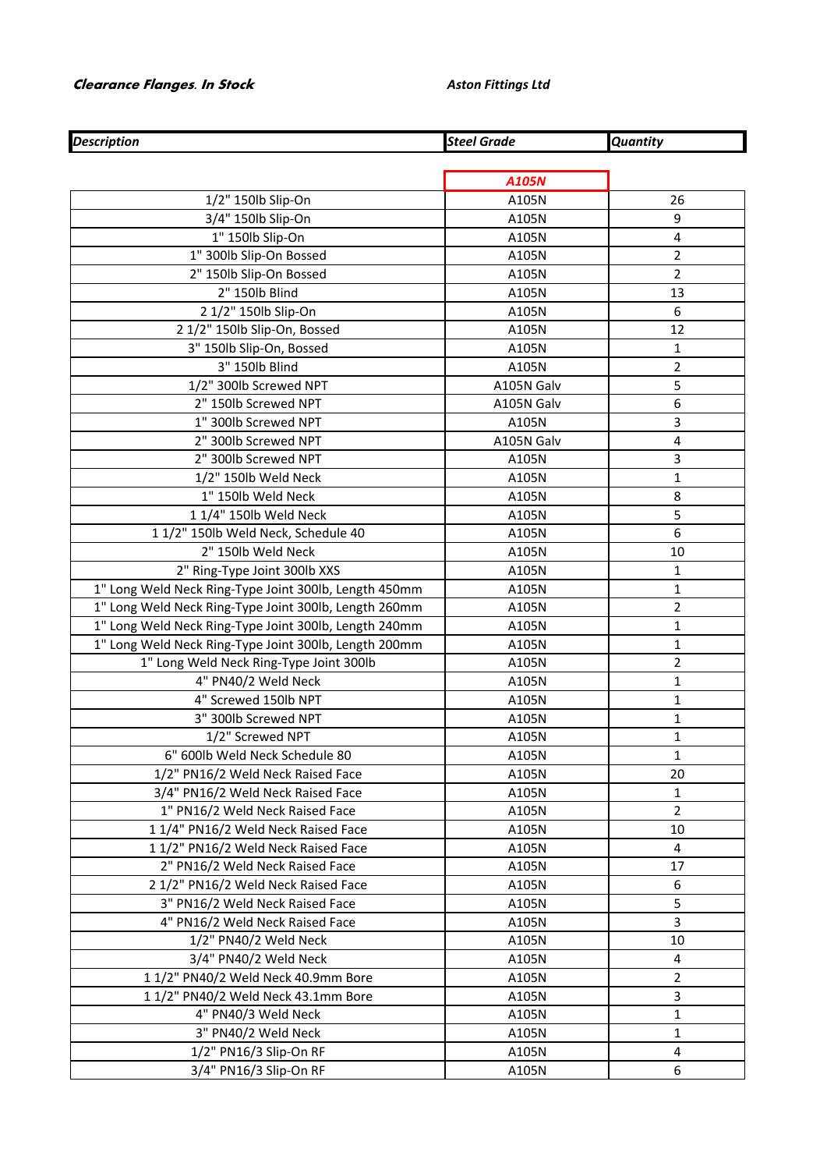## **Clearance Flanges. In Stock** *Aston Fittings Ltd*

| <b>Description</b>                                    | <b>Steel Grade</b> | <b>Quantity</b> |
|-------------------------------------------------------|--------------------|-----------------|
|                                                       |                    |                 |
|                                                       | A105N              |                 |
| 1/2" 150lb Slip-On                                    | A105N              | 26              |
| 3/4" 150lb Slip-On                                    | A105N              | 9               |
| 1" 150lb Slip-On                                      | A105N              | 4               |
| 1" 300lb Slip-On Bossed                               | A105N              | $\overline{2}$  |
| 2" 150lb Slip-On Bossed                               | A105N              | $\overline{2}$  |
| 2" 150lb Blind                                        | A105N              | 13              |
| 2 1/2" 150lb Slip-On                                  | A105N              | 6               |
| 2 1/2" 150lb Slip-On, Bossed                          | A105N              | 12              |
| 3" 150lb Slip-On, Bossed                              | A105N              | $\mathbf{1}$    |
| 3" 150lb Blind                                        | A105N              | $\overline{2}$  |
| 1/2" 300lb Screwed NPT                                | A105N Galv         | 5               |
| 2" 150lb Screwed NPT                                  | A105N Galv         | 6               |
| 1" 300lb Screwed NPT                                  | A105N              | 3               |
| 2" 300lb Screwed NPT                                  | A105N Galv         | 4               |
| 2" 300lb Screwed NPT                                  | A105N              | 3               |
| 1/2" 150lb Weld Neck                                  | A105N              | $\mathbf{1}$    |
| 1" 150lb Weld Neck                                    | A105N              | 8               |
| 1 1/4" 150lb Weld Neck                                | A105N              | 5               |
| 11/2" 150lb Weld Neck, Schedule 40                    | A105N              | 6               |
| 2" 150lb Weld Neck                                    | A105N              | 10              |
| 2" Ring-Type Joint 300lb XXS                          | A105N              | $\mathbf{1}$    |
| 1" Long Weld Neck Ring-Type Joint 300lb, Length 450mm | A105N              | 1               |
| 1" Long Weld Neck Ring-Type Joint 300lb, Length 260mm | A105N              | $\overline{2}$  |
| 1" Long Weld Neck Ring-Type Joint 300lb, Length 240mm | A105N              | $\mathbf{1}$    |
| 1" Long Weld Neck Ring-Type Joint 300lb, Length 200mm | A105N              | $\mathbf{1}$    |
| 1" Long Weld Neck Ring-Type Joint 300lb               | A105N              | $\overline{2}$  |
| 4" PN40/2 Weld Neck                                   | A105N              | $\mathbf{1}$    |
| 4" Screwed 150lb NPT                                  | A105N              | $\mathbf{1}$    |
| 3" 300lb Screwed NPT                                  | A105N              | $\mathbf{1}$    |
| 1/2" Screwed NPT                                      | A105N              | $\mathbf 1$     |
| 6" 600lb Weld Neck Schedule 80                        | A105N              | 1               |
| 1/2" PN16/2 Weld Neck Raised Face                     | A105N              | 20              |
| 3/4" PN16/2 Weld Neck Raised Face                     | A105N              | 1               |
| 1" PN16/2 Weld Neck Raised Face                       | A105N              | $\overline{2}$  |
| 11/4" PN16/2 Weld Neck Raised Face                    | A105N              | 10              |
| 11/2" PN16/2 Weld Neck Raised Face                    | A105N              | 4               |
| 2" PN16/2 Weld Neck Raised Face                       | A105N              | 17              |
| 2 1/2" PN16/2 Weld Neck Raised Face                   | A105N              | 6               |
| 3" PN16/2 Weld Neck Raised Face                       | A105N              | 5               |
| 4" PN16/2 Weld Neck Raised Face                       | A105N              | 3               |
| 1/2" PN40/2 Weld Neck                                 | A105N              | 10              |
| 3/4" PN40/2 Weld Neck                                 | A105N              | 4               |
| 1 1/2" PN40/2 Weld Neck 40.9mm Bore                   | A105N              | $\overline{2}$  |
| 11/2" PN40/2 Weld Neck 43.1mm Bore                    | A105N              | 3               |
| 4" PN40/3 Weld Neck                                   | A105N              | 1               |
| 3" PN40/2 Weld Neck                                   | A105N              | $\mathbf{1}$    |
| 1/2" PN16/3 Slip-On RF                                | A105N              | 4               |
| 3/4" PN16/3 Slip-On RF                                | A105N              | 6               |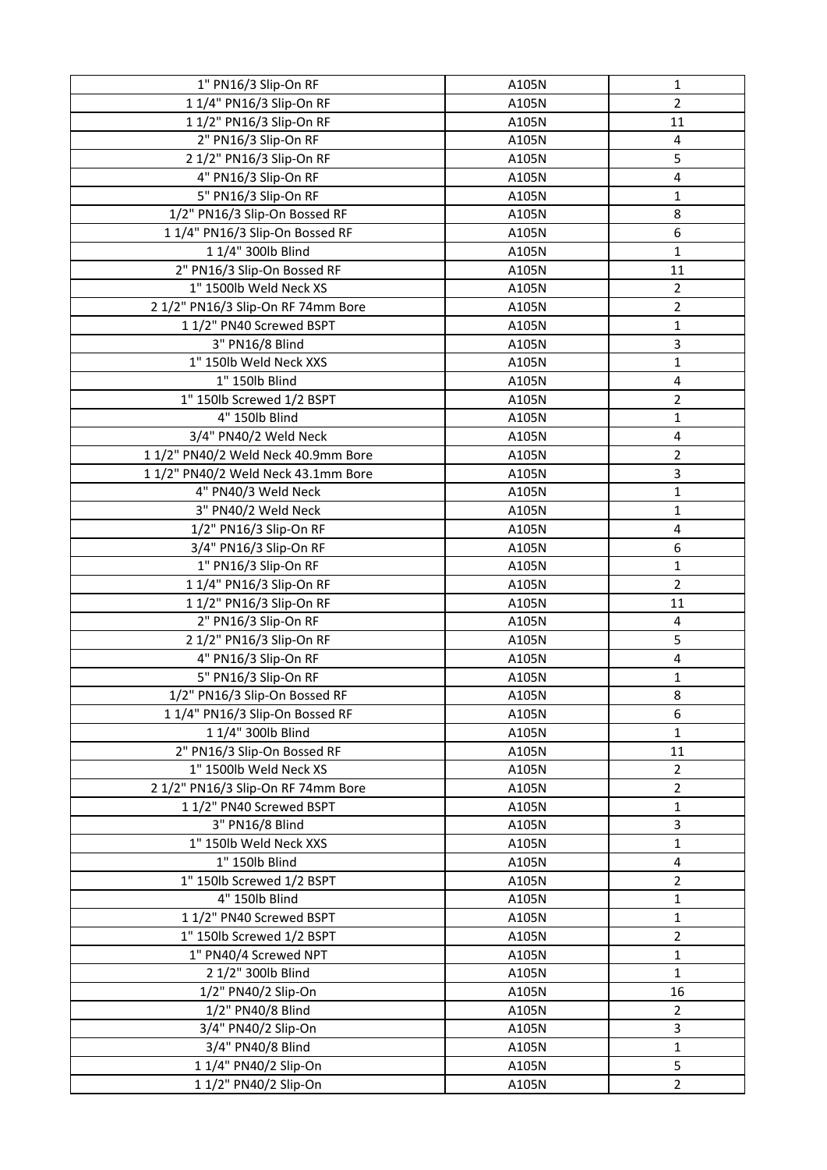| 1" PN16/3 Slip-On RF                | A105N | 1                       |
|-------------------------------------|-------|-------------------------|
| 1 1/4" PN16/3 Slip-On RF            | A105N | $\overline{2}$          |
| 1 1/2" PN16/3 Slip-On RF            | A105N | 11                      |
| 2" PN16/3 Slip-On RF                | A105N | 4                       |
| 2 1/2" PN16/3 Slip-On RF            | A105N | 5                       |
| 4" PN16/3 Slip-On RF                | A105N | $\overline{\mathbf{4}}$ |
| 5" PN16/3 Slip-On RF                | A105N | 1                       |
| 1/2" PN16/3 Slip-On Bossed RF       | A105N | 8                       |
| 11/4" PN16/3 Slip-On Bossed RF      | A105N | 6                       |
| 1 1/4" 300lb Blind                  | A105N | 1                       |
| 2" PN16/3 Slip-On Bossed RF         | A105N | 11                      |
| 1" 1500lb Weld Neck XS              | A105N | 2                       |
| 2 1/2" PN16/3 Slip-On RF 74mm Bore  | A105N | $\overline{2}$          |
| 11/2" PN40 Screwed BSPT             | A105N | 1                       |
| 3" PN16/8 Blind                     | A105N | 3                       |
| 1" 150lb Weld Neck XXS              | A105N | 1                       |
| 1" 150lb Blind                      | A105N | $\overline{\mathbf{4}}$ |
| 1" 150lb Screwed 1/2 BSPT           | A105N | $\overline{2}$          |
| 4" 150lb Blind                      | A105N | 1                       |
| 3/4" PN40/2 Weld Neck               | A105N | 4                       |
| 1 1/2" PN40/2 Weld Neck 40.9mm Bore | A105N | 2                       |
| 11/2" PN40/2 Weld Neck 43.1mm Bore  | A105N | 3                       |
| 4" PN40/3 Weld Neck                 | A105N | 1                       |
| 3" PN40/2 Weld Neck                 | A105N | 1                       |
| 1/2" PN16/3 Slip-On RF              | A105N | 4                       |
| 3/4" PN16/3 Slip-On RF              | A105N | 6                       |
| 1" PN16/3 Slip-On RF                | A105N | 1                       |
| 1 1/4" PN16/3 Slip-On RF            | A105N | $\overline{2}$          |
| 1 1/2" PN16/3 Slip-On RF            | A105N | 11                      |
| 2" PN16/3 Slip-On RF                | A105N | 4                       |
| 2 1/2" PN16/3 Slip-On RF            |       | 5                       |
|                                     | A105N | 4                       |
| 4" PN16/3 Slip-On RF                | A105N |                         |
| 5" PN16/3 Slip-On RF                | A105N | 1                       |
| 1/2" PN16/3 Slip-On Bossed RF       | A105N | 8                       |
| 11/4" PN16/3 Slip-On Bossed RF      | A105N | 6                       |
| 1 1/4" 300lb Blind                  | A105N | 1                       |
| 2" PN16/3 Slip-On Bossed RF         | A105N | 11                      |
| 1" 1500lb Weld Neck XS              | A105N | $\overline{2}$          |
| 2 1/2" PN16/3 Slip-On RF 74mm Bore  | A105N | $\overline{2}$          |
| 1 1/2" PN40 Screwed BSPT            | A105N | $\mathbf 1$             |
| 3" PN16/8 Blind                     | A105N | 3                       |
| 1" 150lb Weld Neck XXS              | A105N | 1                       |
| 1" 150lb Blind                      | A105N | 4                       |
| 1" 150lb Screwed 1/2 BSPT           | A105N | $\overline{2}$          |
| 4" 150lb Blind                      | A105N | 1                       |
| 11/2" PN40 Screwed BSPT             | A105N | 1                       |
| 1" 150lb Screwed 1/2 BSPT           | A105N | 2                       |
| 1" PN40/4 Screwed NPT               | A105N | 1                       |
| 2 1/2" 300lb Blind                  | A105N | 1                       |
| 1/2" PN40/2 Slip-On                 | A105N | 16                      |
| 1/2" PN40/8 Blind                   | A105N | 2                       |
| 3/4" PN40/2 Slip-On                 | A105N | 3                       |
| 3/4" PN40/8 Blind                   | A105N | 1                       |
| 1 1/4" PN40/2 Slip-On               | A105N | 5                       |
| 1 1/2" PN40/2 Slip-On               | A105N | $\overline{2}$          |
|                                     |       |                         |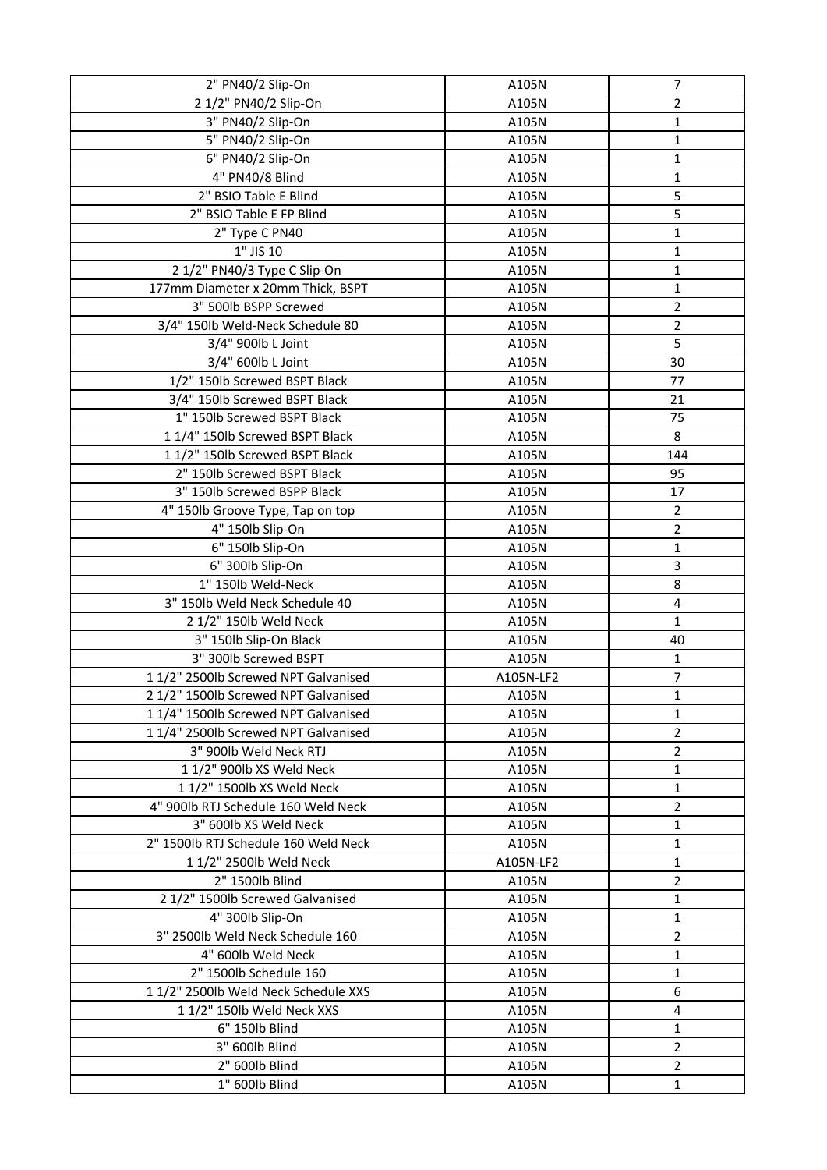| 2" PN40/2 Slip-On                    | A105N     | $\overline{7}$ |
|--------------------------------------|-----------|----------------|
| 2 1/2" PN40/2 Slip-On                | A105N     | 2              |
| 3" PN40/2 Slip-On                    | A105N     | 1              |
| 5" PN40/2 Slip-On                    | A105N     | 1              |
| 6" PN40/2 Slip-On                    | A105N     | 1              |
| 4" PN40/8 Blind                      | A105N     | 1              |
| 2" BSIO Table E Blind                | A105N     | 5              |
| 2" BSIO Table E FP Blind             | A105N     | 5              |
| 2" Type C PN40                       | A105N     | 1              |
| 1" JIS 10                            | A105N     | 1              |
| 2 1/2" PN40/3 Type C Slip-On         | A105N     | 1              |
| 177mm Diameter x 20mm Thick, BSPT    | A105N     | 1              |
| 3" 500lb BSPP Screwed                | A105N     | $\overline{2}$ |
| 3/4" 150lb Weld-Neck Schedule 80     | A105N     | $\overline{2}$ |
| 3/4" 900lb L Joint                   | A105N     | 5              |
| 3/4" 600lb L Joint                   | A105N     | 30             |
| 1/2" 150lb Screwed BSPT Black        | A105N     | 77             |
| 3/4" 150lb Screwed BSPT Black        | A105N     | 21             |
| 1" 150lb Screwed BSPT Black          | A105N     | 75             |
| 11/4" 150lb Screwed BSPT Black       | A105N     | 8              |
| 11/2" 150lb Screwed BSPT Black       | A105N     | 144            |
| 2" 150lb Screwed BSPT Black          | A105N     | 95             |
| 3" 150lb Screwed BSPP Black          | A105N     | 17             |
| 4" 150lb Groove Type, Tap on top     | A105N     | $\overline{2}$ |
| 4" 150lb Slip-On                     | A105N     | $\overline{2}$ |
| 6" 150lb Slip-On                     | A105N     | $\mathbf 1$    |
| 6" 300lb Slip-On                     | A105N     | 3              |
| 1" 150lb Weld-Neck                   | A105N     | 8              |
| 3" 150lb Weld Neck Schedule 40       | A105N     | 4              |
| 2 1/2" 150lb Weld Neck               | A105N     | 1              |
| 3" 150lb Slip-On Black               | A105N     | 40             |
| 3" 300lb Screwed BSPT                | A105N     | 1              |
| 11/2" 2500lb Screwed NPT Galvanised  | A105N-LF2 | $\overline{7}$ |
| 2 1/2" 1500lb Screwed NPT Galvanised | A105N     | 1              |
| 11/4" 1500lb Screwed NPT Galvanised  | A105N     | 1              |
| 11/4" 2500lb Screwed NPT Galvanised  | A105N     | 2              |
| 3" 900lb Weld Neck RTJ               | A105N     | 2              |
| 1 1/2" 900lb XS Weld Neck            | A105N     | 1              |
| 1 1/2" 1500lb XS Weld Neck           | A105N     | 1              |
| 4" 900lb RTJ Schedule 160 Weld Neck  | A105N     | $\overline{2}$ |
| 3" 600lb XS Weld Neck                | A105N     | 1              |
| 2" 1500lb RTJ Schedule 160 Weld Neck | A105N     | 1              |
| 1 1/2" 2500lb Weld Neck              | A105N-LF2 | 1              |
| 2" 1500lb Blind                      | A105N     | $\overline{2}$ |
| 2 1/2" 1500lb Screwed Galvanised     | A105N     | 1              |
| 4" 300lb Slip-On                     | A105N     | 1              |
| 3" 2500lb Weld Neck Schedule 160     | A105N     | 2              |
| 4" 600lb Weld Neck                   | A105N     | 1              |
| 2" 1500lb Schedule 160               | A105N     | 1              |
| 11/2" 2500lb Weld Neck Schedule XXS  | A105N     | 6              |
| 1 1/2" 150lb Weld Neck XXS           | A105N     | 4              |
| 6" 150lb Blind                       | A105N     | 1              |
| 3" 600lb Blind                       | A105N     | 2              |
| 2" 600lb Blind                       | A105N     | $\overline{2}$ |
| 1" 600lb Blind                       | A105N     | 1              |
|                                      |           |                |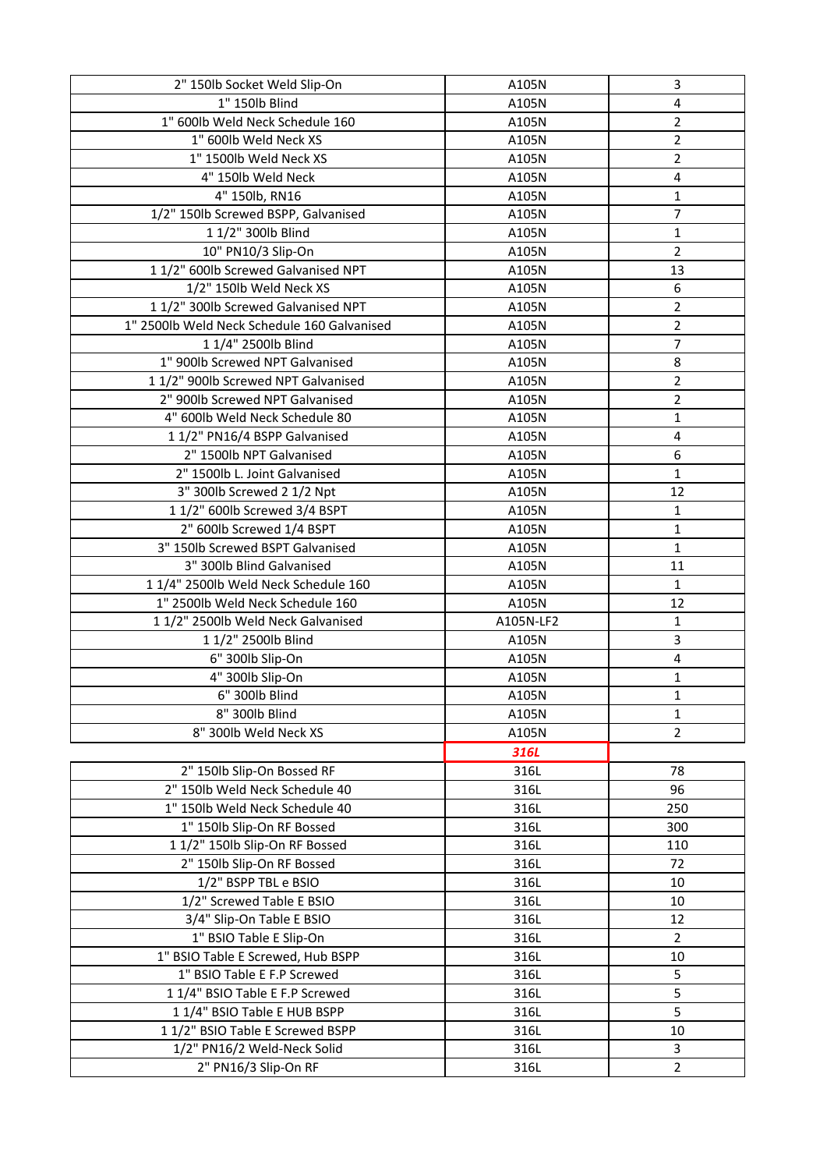| 2" 150lb Socket Weld Slip-On                | A105N     | 3                       |
|---------------------------------------------|-----------|-------------------------|
| $1"$ 150lb Blind                            | A105N     | 4                       |
| 1" 600lb Weld Neck Schedule 160             | A105N     | 2                       |
| 1" 600lb Weld Neck XS                       | A105N     | $\overline{\mathbf{c}}$ |
| 1" 1500lb Weld Neck XS                      | A105N     | $\overline{2}$          |
| 4" 150lb Weld Neck                          | A105N     | 4                       |
| 4" 150lb, RN16                              | A105N     | 1                       |
| 1/2" 150lb Screwed BSPP, Galvanised         | A105N     | $\overline{7}$          |
| 1 1/2" 300lb Blind                          | A105N     | 1                       |
| 10" PN10/3 Slip-On                          | A105N     | $\overline{2}$          |
| 11/2" 600lb Screwed Galvanised NPT          | A105N     | 13                      |
| 1/2" 150lb Weld Neck XS                     | A105N     | 6                       |
| 11/2" 300lb Screwed Galvanised NPT          | A105N     | $\overline{\mathbf{c}}$ |
| 1" 2500lb Weld Neck Schedule 160 Galvanised | A105N     | $\overline{2}$          |
| 1 1/4" 2500lb Blind                         | A105N     | $\overline{7}$          |
| 1" 900lb Screwed NPT Galvanised             | A105N     | 8                       |
| 11/2" 900lb Screwed NPT Galvanised          | A105N     | $\overline{\mathbf{c}}$ |
| 2" 900lb Screwed NPT Galvanised             | A105N     | $\overline{2}$          |
| 4" 600lb Weld Neck Schedule 80              | A105N     | 1                       |
| 1 1/2" PN16/4 BSPP Galvanised               | A105N     | 4                       |
| 2" 1500lb NPT Galvanised                    | A105N     | 6                       |
| 2" 1500lb L. Joint Galvanised               | A105N     | $\mathbf{1}$            |
| 3" 300lb Screwed 2 1/2 Npt                  | A105N     | 12                      |
| 1 1/2" 600lb Screwed 3/4 BSPT               | A105N     | 1                       |
| 2" 600lb Screwed 1/4 BSPT                   | A105N     | 1                       |
| 3" 150lb Screwed BSPT Galvanised            | A105N     | $\mathbf 1$             |
| 3" 300lb Blind Galvanised                   | A105N     | 11                      |
| 1 1/4" 2500lb Weld Neck Schedule 160        | A105N     | $\mathbf{1}$            |
| 1" 2500lb Weld Neck Schedule 160            | A105N     | 12                      |
| 11/2" 2500lb Weld Neck Galvanised           | A105N-LF2 | 1                       |
| 1 1/2" 2500lb Blind                         | A105N     | 3                       |
| 6" 300lb Slip-On                            | A105N     | 4                       |
| 4" 300lb Slip-On                            | A105N     | 1                       |
| 6" 300lb Blind                              | A105N     | 1                       |
| 8" 300lb Blind                              | A105N     | 1                       |
| 8" 300lb Weld Neck XS                       | A105N     | $\overline{2}$          |
|                                             | 316L      |                         |
| 2" 150lb Slip-On Bossed RF                  | 316L      | 78                      |
| 2" 150lb Weld Neck Schedule 40              | 316L      | 96                      |
| 1" 150lb Weld Neck Schedule 40              | 316L      | 250                     |
| 1" 150lb Slip-On RF Bossed                  | 316L      | 300                     |
| 1 1/2" 150lb Slip-On RF Bossed              | 316L      | 110                     |
| 2" 150lb Slip-On RF Bossed                  | 316L      | 72                      |
| 1/2" BSPP TBL e BSIO                        | 316L      | 10                      |
| 1/2" Screwed Table E BSIO                   | 316L      | 10                      |
| 3/4" Slip-On Table E BSIO                   | 316L      | 12                      |
| 1" BSIO Table E Slip-On                     | 316L      | $\overline{2}$          |
| 1" BSIO Table E Screwed, Hub BSPP           | 316L      | 10                      |
| 1" BSIO Table E F.P Screwed                 | 316L      | 5                       |
| 11/4" BSIO Table E F.P Screwed              | 316L      | 5                       |
| 11/4" BSIO Table E HUB BSPP                 | 316L      | 5                       |
| 11/2" BSIO Table E Screwed BSPP             | 316L      | 10                      |
| 1/2" PN16/2 Weld-Neck Solid                 | 316L      | 3                       |
| 2" PN16/3 Slip-On RF                        | 316L      | $\overline{2}$          |
|                                             |           |                         |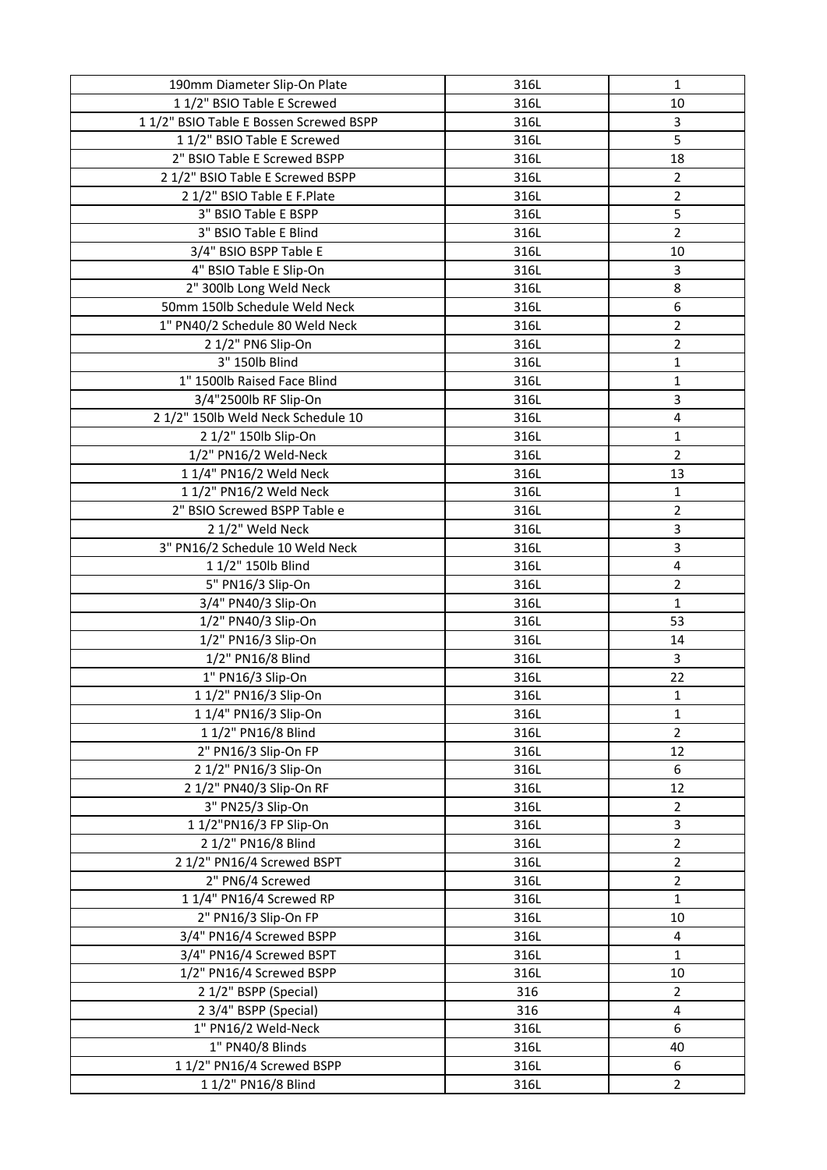| 190mm Diameter Slip-On Plate                   | 316L       | $\mathbf{1}$            |
|------------------------------------------------|------------|-------------------------|
| 1 1/2" BSIO Table E Screwed                    | 316L       | 10                      |
| 11/2" BSIO Table E Bossen Screwed BSPP         | 316L       | 3                       |
| 11/2" BSIO Table E Screwed                     | 316L       | 5                       |
| 2" BSIO Table E Screwed BSPP                   | 316L       | 18                      |
| 2 1/2" BSIO Table E Screwed BSPP               | 316L       | $\overline{2}$          |
| 2 1/2" BSIO Table E F.Plate                    | 316L       | $\overline{2}$          |
| 3" BSIO Table E BSPP                           | 316L       | 5                       |
| 3" BSIO Table E Blind                          | 316L       | $\overline{2}$          |
| 3/4" BSIO BSPP Table E                         | 316L       | 10                      |
| 4" BSIO Table E Slip-On                        | 316L       | 3                       |
| 2" 300lb Long Weld Neck                        | 316L       | 8                       |
| 50mm 150lb Schedule Weld Neck                  | 316L       | 6                       |
| 1" PN40/2 Schedule 80 Weld Neck                | 316L       | $\overline{2}$          |
| 2 1/2" PN6 Slip-On                             | 316L       | $\overline{2}$          |
| 3" 150lb Blind                                 | 316L       | 1                       |
| 1" 1500lb Raised Face Blind                    | 316L       | 1                       |
| 3/4"2500lb RF Slip-On                          | 316L       | 3                       |
| 2 1/2" 150lb Weld Neck Schedule 10             | 316L       | 4                       |
| 2 1/2" 150lb Slip-On                           | 316L       | 1                       |
| 1/2" PN16/2 Weld-Neck                          | 316L       | $\overline{2}$          |
| 1 1/4" PN16/2 Weld Neck                        | 316L       | 13                      |
| 1 1/2" PN16/2 Weld Neck                        | 316L       | 1                       |
| 2" BSIO Screwed BSPP Table e                   | 316L       | $\overline{2}$          |
| 2 1/2" Weld Neck                               | 316L       | 3                       |
| 3" PN16/2 Schedule 10 Weld Neck                | 316L       | 3                       |
| 1 1/2" 150lb Blind                             | 316L       | 4                       |
| 5" PN16/3 Slip-On                              | 316L       | $\overline{2}$          |
| 3/4" PN40/3 Slip-On                            | 316L       | $\mathbf{1}$            |
| 1/2" PN40/3 Slip-On                            | 316L       | 53                      |
| 1/2" PN16/3 Slip-On                            | 316L       | 14                      |
| 1/2" PN16/8 Blind                              | 316L       | 3                       |
| 1" PN16/3 Slip-On                              | 316L       | 22                      |
| 1 1/2" PN16/3 Slip-On                          | 316L       | $\mathbf{1}$            |
| 1 1/4" PN16/3 Slip-On                          | 316L       | $\mathbf{1}$            |
| 1 1/2" PN16/8 Blind                            | 316L       | $\overline{2}$          |
| 2" PN16/3 Slip-On FP                           | 316L       | 12                      |
| 2 1/2" PN16/3 Slip-On                          | 316L       | 6                       |
| 2 1/2" PN40/3 Slip-On RF                       | 316L       | 12                      |
| 3" PN25/3 Slip-On                              | 316L       | $\overline{2}$          |
| 1 1/2"PN16/3 FP Slip-On                        | 316L       | $\overline{\mathbf{3}}$ |
| 2 1/2" PN16/8 Blind                            | 316L       | $\overline{2}$          |
| 2 1/2" PN16/4 Screwed BSPT                     | 316L       | $\overline{2}$          |
| 2" PN6/4 Screwed                               | 316L       | $\overline{2}$          |
| 1 1/4" PN16/4 Screwed RP                       | 316L       | $\mathbf{1}$            |
| 2" PN16/3 Slip-On FP                           | 316L       | 10                      |
| 3/4" PN16/4 Screwed BSPP                       | 316L       | $\overline{\mathbf{4}}$ |
| 3/4" PN16/4 Screwed BSPT                       | 316L       | $\mathbf{1}$<br>10      |
| 1/2" PN16/4 Screwed BSPP                       | 316L       |                         |
| 2 1/2" BSPP (Special)<br>2 3/4" BSPP (Special) | 316<br>316 | $\overline{2}$<br>4     |
| 1" PN16/2 Weld-Neck                            | 316L       | 6                       |
| 1" PN40/8 Blinds                               | 316L       | 40                      |
| 1 1/2" PN16/4 Screwed BSPP                     | 316L       | 6                       |
| 1 1/2" PN16/8 Blind                            | 316L       | $\overline{2}$          |
|                                                |            |                         |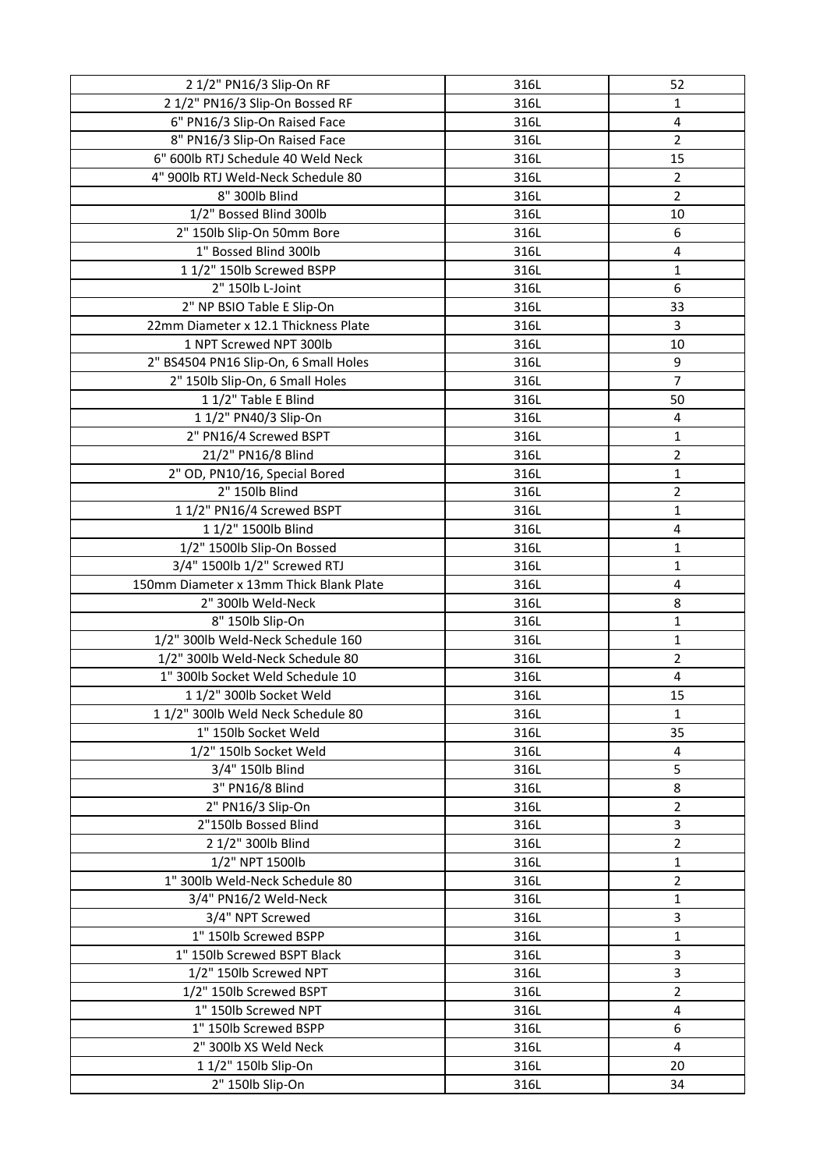| 2 1/2" PN16/3 Slip-On RF                | 316L | 52                      |
|-----------------------------------------|------|-------------------------|
| 2 1/2" PN16/3 Slip-On Bossed RF         | 316L | 1                       |
| 6" PN16/3 Slip-On Raised Face           | 316L | 4                       |
| 8" PN16/3 Slip-On Raised Face           | 316L | $\overline{2}$          |
| 6" 600lb RTJ Schedule 40 Weld Neck      | 316L | 15                      |
| 4" 900lb RTJ Weld-Neck Schedule 80      | 316L | $\overline{2}$          |
| 8" 300lb Blind                          | 316L | $\overline{2}$          |
| 1/2" Bossed Blind 300lb                 | 316L | 10                      |
| 2" 150lb Slip-On 50mm Bore              | 316L | 6                       |
| 1" Bossed Blind 300lb                   | 316L | 4                       |
| 1 1/2" 150lb Screwed BSPP               | 316L | 1                       |
| 2" 150lb L-Joint                        | 316L | 6                       |
| 2" NP BSIO Table E Slip-On              | 316L | 33                      |
| 22mm Diameter x 12.1 Thickness Plate    | 316L | 3                       |
| 1 NPT Screwed NPT 300lb                 | 316L | 10                      |
| 2" BS4504 PN16 Slip-On, 6 Small Holes   | 316L | 9                       |
| 2" 150lb Slip-On, 6 Small Holes         | 316L | $\overline{7}$          |
| 1 1/2" Table E Blind                    | 316L | 50                      |
| 1 1/2" PN40/3 Slip-On                   | 316L | 4                       |
| 2" PN16/4 Screwed BSPT                  | 316L | 1                       |
| 21/2" PN16/8 Blind                      | 316L | $\overline{2}$          |
| 2" OD, PN10/16, Special Bored           | 316L | $\mathbf 1$             |
| 2" 150lb Blind                          | 316L | $\overline{2}$          |
| 1 1/2" PN16/4 Screwed BSPT              | 316L | 1                       |
| 1 1/2" 1500lb Blind                     | 316L | 4                       |
| 1/2" 1500lb Slip-On Bossed              | 316L | $\mathbf 1$             |
| 3/4" 1500lb 1/2" Screwed RTJ            | 316L | 1                       |
| 150mm Diameter x 13mm Thick Blank Plate | 316L | 4                       |
| 2" 300lb Weld-Neck                      | 316L | 8                       |
| 8" 150lb Slip-On                        | 316L | 1                       |
| 1/2" 300lb Weld-Neck Schedule 160       | 316L | $\mathbf 1$             |
| 1/2" 300lb Weld-Neck Schedule 80        | 316L | $\overline{2}$          |
| 1" 300lb Socket Weld Schedule 10        | 316L | 4                       |
| 1 1/2" 300lb Socket Weld                | 316L | 15                      |
| 11/2" 300lb Weld Neck Schedule 80       | 316L | 1                       |
| 1" 150lb Socket Weld                    | 316L | 35                      |
| 1/2" 150lb Socket Weld                  | 316L | 4                       |
| 3/4" 150lb Blind                        | 316L | 5                       |
| 3" PN16/8 Blind                         | 316L | 8                       |
| 2" PN16/3 Slip-On                       | 316L | $\overline{\mathbf{c}}$ |
| 2"150lb Bossed Blind                    | 316L | 3                       |
| 2 1/2" 300lb Blind                      | 316L | $\overline{2}$          |
| 1/2" NPT 1500lb                         | 316L | 1                       |
| 1" 300lb Weld-Neck Schedule 80          | 316L | 2                       |
| 3/4" PN16/2 Weld-Neck                   | 316L | $\mathbf 1$             |
| 3/4" NPT Screwed                        | 316L | 3                       |
| 1" 150lb Screwed BSPP                   | 316L | $\mathbf 1$             |
| 1" 150lb Screwed BSPT Black             | 316L | 3                       |
| 1/2" 150lb Screwed NPT                  | 316L | 3                       |
| 1/2" 150lb Screwed BSPT                 | 316L | $\overline{2}$          |
| 1" 150lb Screwed NPT                    | 316L | 4                       |
| 1" 150lb Screwed BSPP                   | 316L | 6                       |
| 2" 300lb XS Weld Neck                   | 316L | 4                       |
| 1 1/2" 150lb Slip-On                    | 316L | 20                      |
| 2" 150lb Slip-On                        | 316L | 34                      |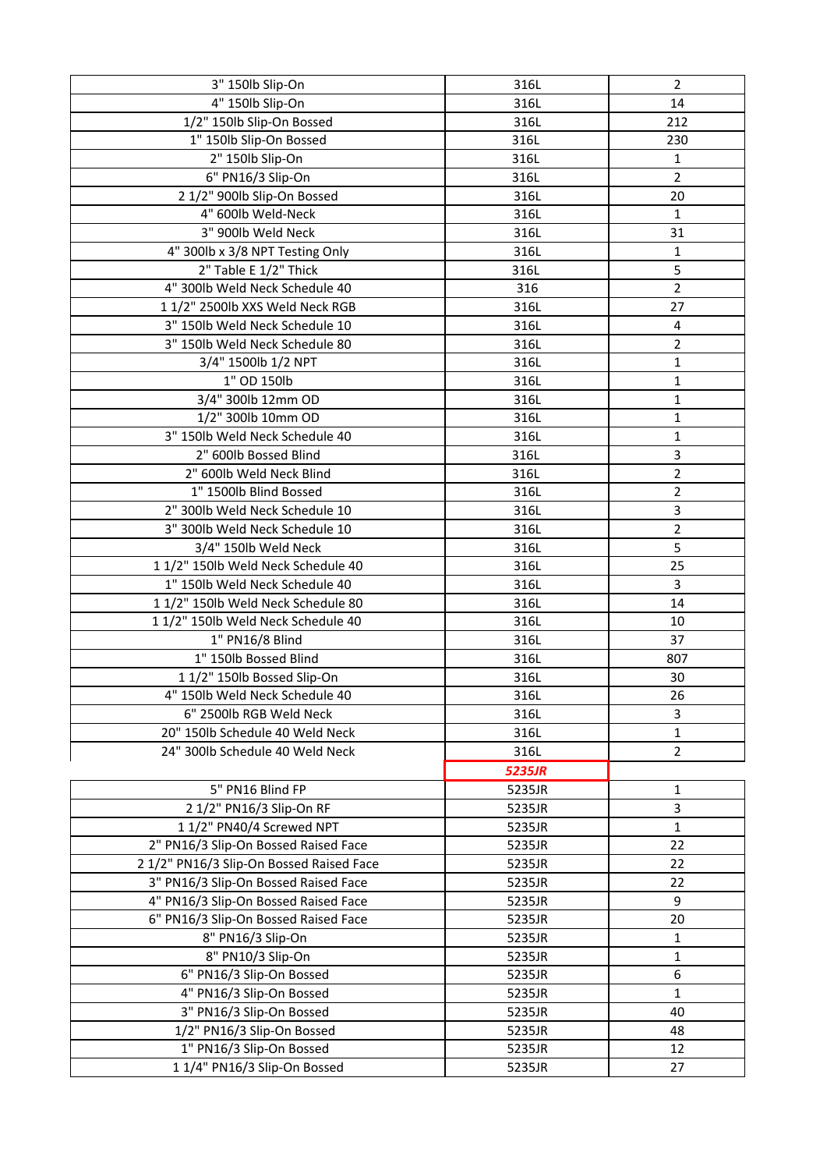| 3" 150lb Slip-On                         | 316L   | $\overline{2}$ |
|------------------------------------------|--------|----------------|
| 4" 150lb Slip-On                         | 316L   | 14             |
| 1/2" 150lb Slip-On Bossed                | 316L   | 212            |
| 1" 150lb Slip-On Bossed                  | 316L   | 230            |
| 2" 150lb Slip-On                         | 316L   | 1              |
| 6" PN16/3 Slip-On                        | 316L   | $\overline{2}$ |
| 2 1/2" 900lb Slip-On Bossed              | 316L   | 20             |
| 4" 600lb Weld-Neck                       | 316L   | 1              |
| 3" 900lb Weld Neck                       | 316L   | 31             |
| 4" 300lb x 3/8 NPT Testing Only          | 316L   | 1              |
| 2" Table E 1/2" Thick                    | 316L   | 5              |
| 4" 300lb Weld Neck Schedule 40           | 316    | $\overline{2}$ |
| 11/2" 2500lb XXS Weld Neck RGB           | 316L   | 27             |
| 3" 150lb Weld Neck Schedule 10           | 316L   | 4              |
| 3" 150lb Weld Neck Schedule 80           | 316L   | $\overline{2}$ |
| 3/4" 1500lb 1/2 NPT                      | 316L   | 1              |
| 1" OD 150lb                              | 316L   | $\mathbf 1$    |
| 3/4" 300lb 12mm OD                       | 316L   | 1              |
| 1/2" 300lb 10mm OD                       | 316L   | 1              |
| 3" 150lb Weld Neck Schedule 40           | 316L   | 1              |
| 2" 600lb Bossed Blind                    | 316L   | 3              |
| 2" 600lb Weld Neck Blind                 | 316L   | $\overline{2}$ |
| 1" 1500lb Blind Bossed                   | 316L   | $\overline{2}$ |
| 2" 300lb Weld Neck Schedule 10           | 316L   | 3              |
| 3" 300lb Weld Neck Schedule 10           | 316L   | $\overline{2}$ |
| 3/4" 150lb Weld Neck                     | 316L   | 5              |
| 11/2" 150lb Weld Neck Schedule 40        | 316L   | 25             |
| 1" 150lb Weld Neck Schedule 40           | 316L   | 3              |
| 11/2" 150lb Weld Neck Schedule 80        | 316L   | 14             |
| 11/2" 150lb Weld Neck Schedule 40        | 316L   | 10             |
| 1" PN16/8 Blind                          | 316L   | 37             |
| 1" 150lb Bossed Blind                    | 316L   | 807            |
| 1 1/2" 150lb Bossed Slip-On              | 316L   | 30             |
| 4" 150lb Weld Neck Schedule 40           | 316L   | 26             |
| 6" 2500lb RGB Weld Neck                  | 316L   | 3              |
| 20" 150lb Schedule 40 Weld Neck          | 316L   | 1              |
| 24" 300lb Schedule 40 Weld Neck          | 316L   | $\overline{2}$ |
|                                          |        |                |
|                                          | 5235JR |                |
| 5" PN16 Blind FP                         | 5235JR | 1              |
| 2 1/2" PN16/3 Slip-On RF                 | 5235JR | 3              |
| 1 1/2" PN40/4 Screwed NPT                | 5235JR | 1              |
| 2" PN16/3 Slip-On Bossed Raised Face     | 5235JR | 22             |
| 2 1/2" PN16/3 Slip-On Bossed Raised Face | 5235JR | 22             |
| 3" PN16/3 Slip-On Bossed Raised Face     | 5235JR | 22             |
| 4" PN16/3 Slip-On Bossed Raised Face     | 5235JR | 9              |
| 6" PN16/3 Slip-On Bossed Raised Face     | 5235JR | 20             |
| 8" PN16/3 Slip-On                        | 5235JR | 1              |
| 8" PN10/3 Slip-On                        | 5235JR | 1              |
| 6" PN16/3 Slip-On Bossed                 | 5235JR | 6              |
| 4" PN16/3 Slip-On Bossed                 | 5235JR | 1              |
| 3" PN16/3 Slip-On Bossed                 | 5235JR | 40             |
| 1/2" PN16/3 Slip-On Bossed               | 5235JR | 48             |
| 1" PN16/3 Slip-On Bossed                 | 5235JR | 12             |
| 11/4" PN16/3 Slip-On Bossed              | 5235JR | 27             |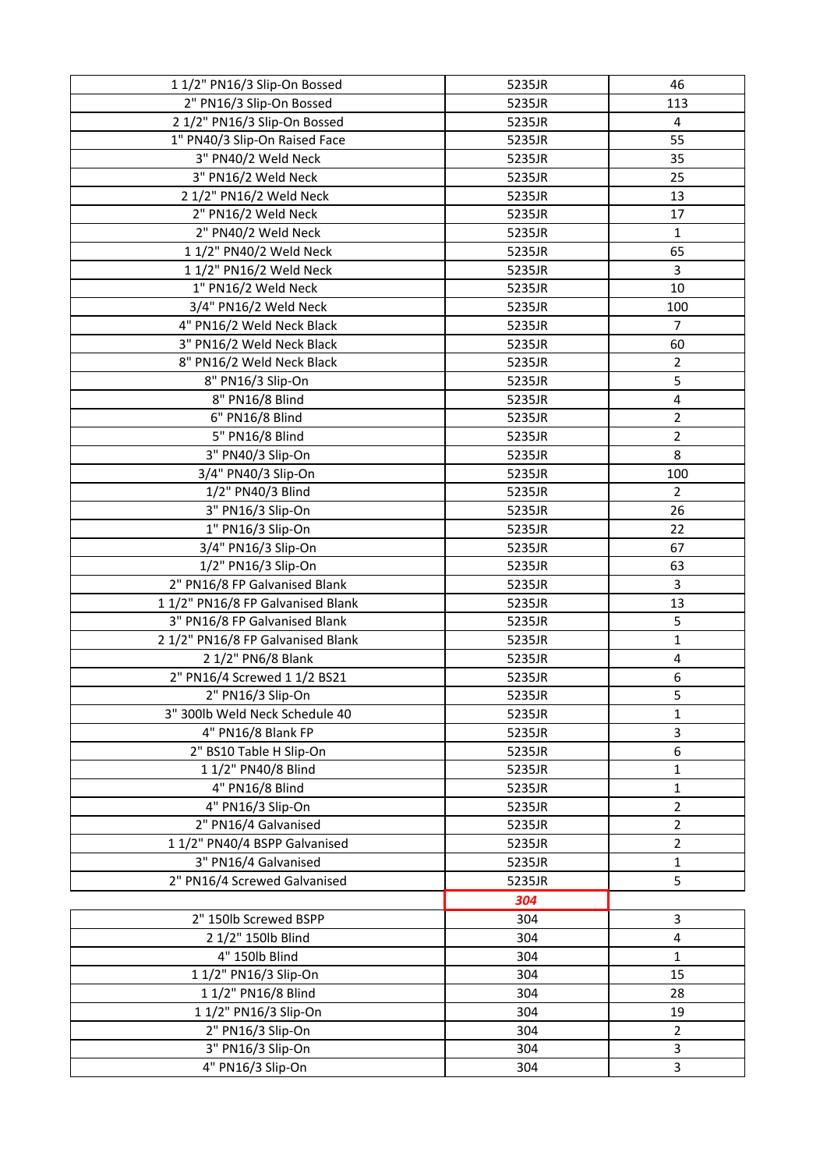| 1 1/2" PN16/3 Slip-On Bossed      | 5235JR | 46                      |
|-----------------------------------|--------|-------------------------|
| 2" PN16/3 Slip-On Bossed          | 5235JR | 113                     |
| 2 1/2" PN16/3 Slip-On Bossed      | 5235JR | 4                       |
| 1" PN40/3 Slip-On Raised Face     | 5235JR | 55                      |
| 3" PN40/2 Weld Neck               | 5235JR | 35                      |
| 3" PN16/2 Weld Neck               | 5235JR | 25                      |
| 2 1/2" PN16/2 Weld Neck           | 5235JR | 13                      |
| 2" PN16/2 Weld Neck               | 5235JR | 17                      |
| 2" PN40/2 Weld Neck               | 5235JR | 1                       |
| 1 1/2" PN40/2 Weld Neck           | 5235JR | 65                      |
| 1 1/2" PN16/2 Weld Neck           | 5235JR | 3                       |
| 1" PN16/2 Weld Neck               | 5235JR | 10                      |
| 3/4" PN16/2 Weld Neck             | 5235JR | 100                     |
| 4" PN16/2 Weld Neck Black         | 5235JR | 7                       |
| 3" PN16/2 Weld Neck Black         | 5235JR | 60                      |
| 8" PN16/2 Weld Neck Black         | 5235JR | $\overline{2}$          |
| 8" PN16/3 Slip-On                 | 5235JR | 5                       |
| 8" PN16/8 Blind                   | 5235JR | $\pmb{4}$               |
| 6" PN16/8 Blind                   | 5235JR | $\overline{2}$          |
| 5" PN16/8 Blind                   | 5235JR | $\overline{2}$          |
| 3" PN40/3 Slip-On                 | 5235JR | 8                       |
| 3/4" PN40/3 Slip-On               | 5235JR | 100                     |
| 1/2" PN40/3 Blind                 | 5235JR | $\overline{2}$          |
| 3" PN16/3 Slip-On                 | 5235JR | 26                      |
| 1" PN16/3 Slip-On                 | 5235JR | 22                      |
| 3/4" PN16/3 Slip-On               | 5235JR | 67                      |
| 1/2" PN16/3 Slip-On               | 5235JR | 63                      |
| 2" PN16/8 FP Galvanised Blank     | 5235JR | 3                       |
| 11/2" PN16/8 FP Galvanised Blank  | 5235JR | 13                      |
| 3" PN16/8 FP Galvanised Blank     | 5235JR | 5                       |
| 2 1/2" PN16/8 FP Galvanised Blank | 5235JR | $\mathbf 1$             |
| 2 1/2" PN6/8 Blank                | 5235JR | $\overline{\mathbf{4}}$ |
| 2" PN16/4 Screwed 1 1/2 BS21      | 5235JR | 6                       |
| 2" PN16/3 Slip-On                 | 5235JR | 5                       |
| 3" 300lb Weld Neck Schedule 40    | 5235JR | 1                       |
| 4" PN16/8 Blank FP                | 5235JR | 3                       |
| 2" BS10 Table H Slip-On           | 5235JR | 6                       |
| 1 1/2" PN40/8 Blind               | 5235JR | 1                       |
| 4" PN16/8 Blind                   | 5235JR | 1                       |
| 4" PN16/3 Slip-On                 | 5235JR | 2                       |
| 2" PN16/4 Galvanised              | 5235JR | $\overline{2}$          |
| 11/2" PN40/4 BSPP Galvanised      | 5235JR | $\overline{2}$          |
| 3" PN16/4 Galvanised              | 5235JR | 1                       |
| 2" PN16/4 Screwed Galvanised      | 5235JR | 5                       |
|                                   | 304    |                         |
| 2" 150lb Screwed BSPP             | 304    | 3                       |
| 2 1/2" 150lb Blind                | 304    | 4                       |
| 4" 150lb Blind                    | 304    | $\mathbf 1$             |
| 1 1/2" PN16/3 Slip-On             | 304    | 15                      |
| 1 1/2" PN16/8 Blind               | 304    | 28                      |
| 1 1/2" PN16/3 Slip-On             | 304    | 19                      |
| 2" PN16/3 Slip-On                 | 304    | $\overline{2}$          |
| 3" PN16/3 Slip-On                 | 304    | 3                       |
| 4" PN16/3 Slip-On                 | 304    | 3                       |
|                                   |        |                         |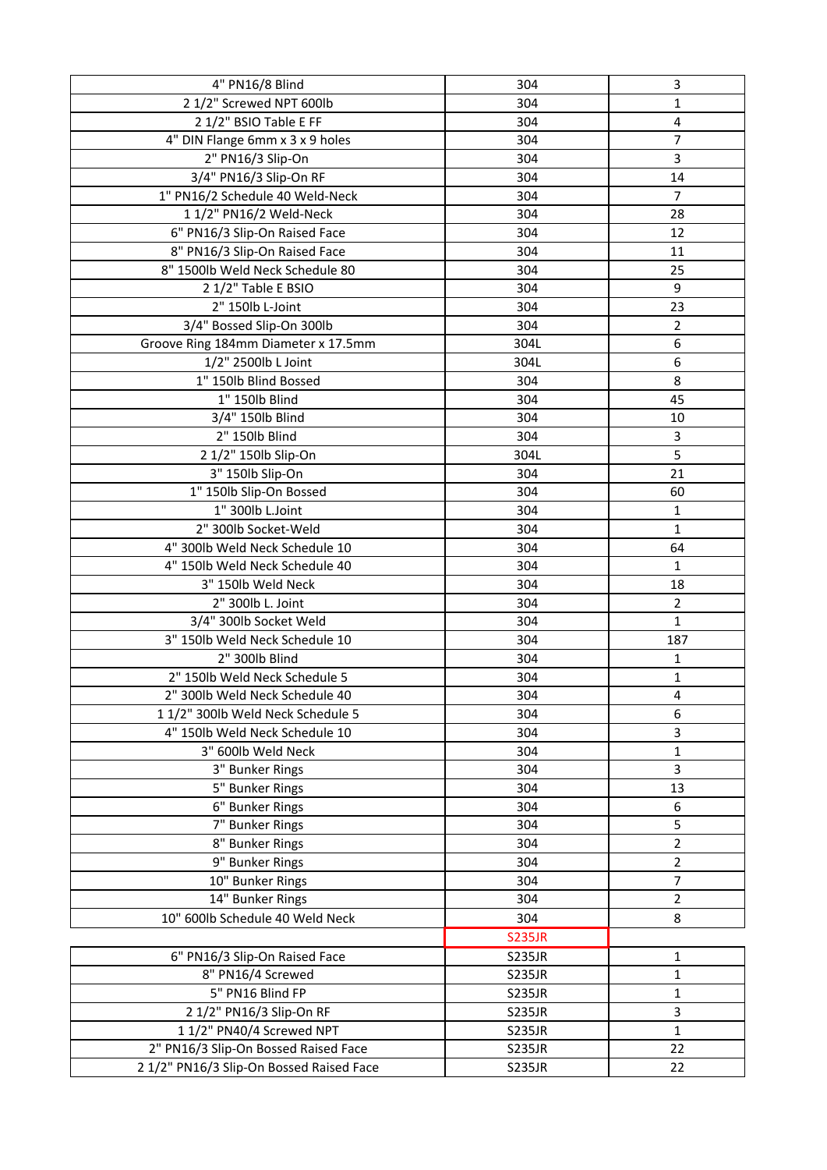| 4" PN16/8 Blind                          | 304           | 3              |
|------------------------------------------|---------------|----------------|
| 2 1/2" Screwed NPT 600lb                 | 304           | 1              |
| 2 1/2" BSIO Table E FF                   | 304           | 4              |
| 4" DIN Flange 6mm x 3 x 9 holes          | 304           | $\overline{7}$ |
| 2" PN16/3 Slip-On                        | 304           | 3              |
| 3/4" PN16/3 Slip-On RF                   | 304           | 14             |
| 1" PN16/2 Schedule 40 Weld-Neck          | 304           | $\overline{7}$ |
| 1 1/2" PN16/2 Weld-Neck                  | 304           | 28             |
| 6" PN16/3 Slip-On Raised Face            | 304           | 12             |
| 8" PN16/3 Slip-On Raised Face            | 304           | 11             |
| 8" 1500lb Weld Neck Schedule 80          | 304           | 25             |
| 2 1/2" Table E BSIO                      | 304           | 9              |
| 2" 150lb L-Joint                         | 304           | 23             |
| 3/4" Bossed Slip-On 300lb                | 304           | $\overline{2}$ |
| Groove Ring 184mm Diameter x 17.5mm      | 304L          | 6              |
| 1/2" 2500lb L Joint                      | 304L          | 6              |
| 1" 150lb Blind Bossed                    | 304           | 8              |
| 1" 150lb Blind                           | 304           | 45             |
| 3/4" 150lb Blind                         | 304           | 10             |
| 2" 150lb Blind                           | 304           | 3              |
| 2 1/2" 150lb Slip-On                     | 304L          | 5              |
| 3" 150lb Slip-On                         | 304           | 21             |
| 1" 150lb Slip-On Bossed                  | 304           | 60             |
| 1" 300lb L.Joint                         | 304           | 1              |
| 2" 300lb Socket-Weld                     | 304           | $\mathbf{1}$   |
| 4" 300lb Weld Neck Schedule 10           | 304           | 64             |
| 4" 150lb Weld Neck Schedule 40           | 304           | 1              |
| 3" 150lb Weld Neck                       | 304           | 18             |
| 2" 300lb L. Joint                        | 304           | $\overline{2}$ |
| 3/4" 300lb Socket Weld                   | 304           | $\mathbf 1$    |
| 3" 150lb Weld Neck Schedule 10           | 304           | 187            |
| 2" 300lb Blind                           | 304           | 1              |
| 2" 150lb Weld Neck Schedule 5            | 304           | 1              |
| 2" 300lb Weld Neck Schedule 40           | 304           | 4              |
| 1 1/2" 300lb Weld Neck Schedule 5        | 304           | 6              |
| 4" 150lb Weld Neck Schedule 10           | 304           | 3              |
| 3" 600lb Weld Neck                       | 304           | 1              |
| 3" Bunker Rings                          | 304           | 3              |
| 5" Bunker Rings                          | 304           | 13             |
| 6" Bunker Rings                          | 304           | 6              |
| 7" Bunker Rings                          | 304           | 5              |
| 8" Bunker Rings                          | 304           | $\overline{2}$ |
| 9" Bunker Rings                          | 304           | 2              |
| 10" Bunker Rings                         | 304           | 7              |
| 14" Bunker Rings                         | 304           | 2              |
| 10" 600lb Schedule 40 Weld Neck          | 304           | 8              |
|                                          |               |                |
|                                          | <b>S235JR</b> |                |
| 6" PN16/3 Slip-On Raised Face            | <b>S235JR</b> | $\mathbf 1$    |
| 8" PN16/4 Screwed                        | <b>S235JR</b> | 1              |
| 5" PN16 Blind FP                         | <b>S235JR</b> | 1              |
| 2 1/2" PN16/3 Slip-On RF                 | <b>S235JR</b> | 3              |
| 1 1/2" PN40/4 Screwed NPT                | <b>S235JR</b> | $\mathbf{1}$   |
| 2" PN16/3 Slip-On Bossed Raised Face     | <b>S235JR</b> | 22             |
| 2 1/2" PN16/3 Slip-On Bossed Raised Face | <b>S235JR</b> | 22             |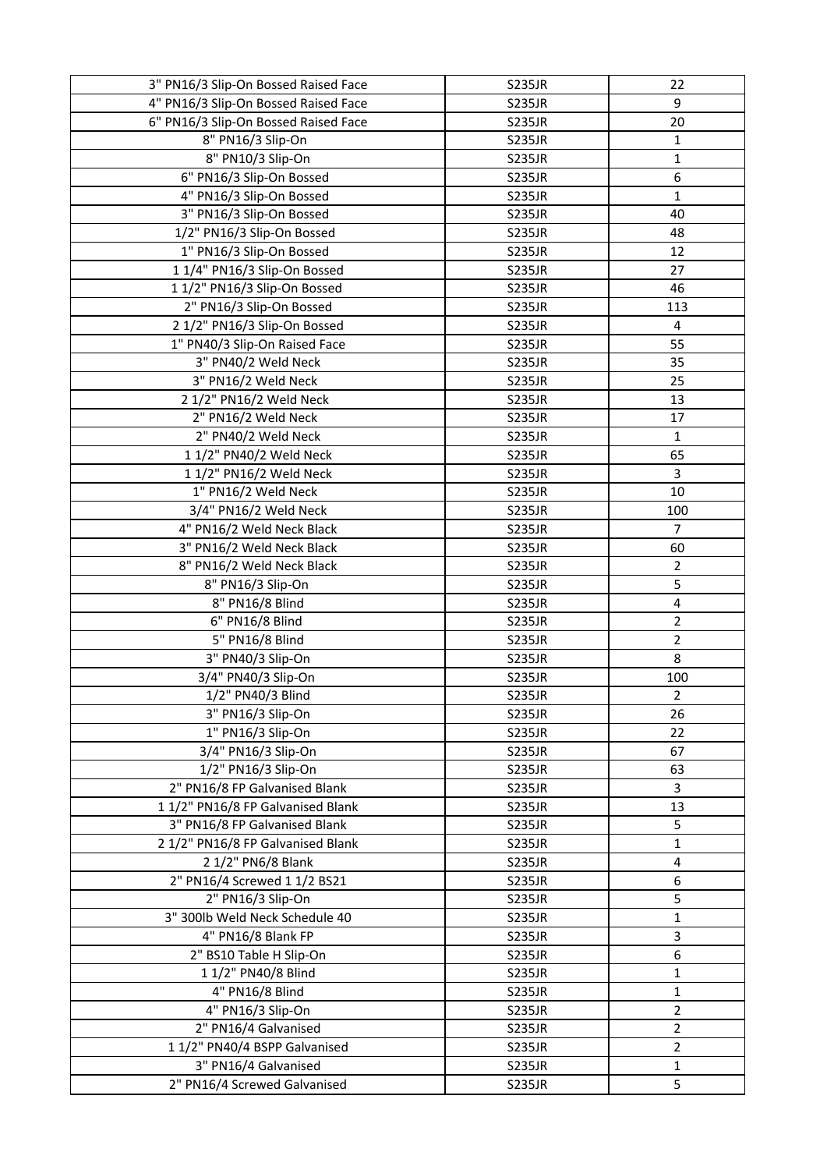| 3" PN16/3 Slip-On Bossed Raised Face | <b>S235JR</b> | 22             |
|--------------------------------------|---------------|----------------|
| 4" PN16/3 Slip-On Bossed Raised Face | <b>S235JR</b> | 9              |
| 6" PN16/3 Slip-On Bossed Raised Face | <b>S235JR</b> | 20             |
| 8" PN16/3 Slip-On                    | <b>S235JR</b> | $\mathbf{1}$   |
| 8" PN10/3 Slip-On                    | <b>S235JR</b> | $\mathbf{1}$   |
| 6" PN16/3 Slip-On Bossed             | <b>S235JR</b> | 6              |
| 4" PN16/3 Slip-On Bossed             | <b>S235JR</b> | $\mathbf{1}$   |
| 3" PN16/3 Slip-On Bossed             | <b>S235JR</b> | 40             |
| 1/2" PN16/3 Slip-On Bossed           | <b>S235JR</b> | 48             |
| 1" PN16/3 Slip-On Bossed             | <b>S235JR</b> | 12             |
| 11/4" PN16/3 Slip-On Bossed          | <b>S235JR</b> | 27             |
| 1 1/2" PN16/3 Slip-On Bossed         | <b>S235JR</b> | 46             |
| 2" PN16/3 Slip-On Bossed             | <b>S235JR</b> | 113            |
| 2 1/2" PN16/3 Slip-On Bossed         | <b>S235JR</b> | 4              |
| 1" PN40/3 Slip-On Raised Face        | <b>S235JR</b> | 55             |
| 3" PN40/2 Weld Neck                  | <b>S235JR</b> | 35             |
| 3" PN16/2 Weld Neck                  | <b>S235JR</b> | 25             |
| 2 1/2" PN16/2 Weld Neck              | <b>S235JR</b> | 13             |
| 2" PN16/2 Weld Neck                  | <b>S235JR</b> | 17             |
| 2" PN40/2 Weld Neck                  | <b>S235JR</b> | $\mathbf{1}$   |
| 1 1/2" PN40/2 Weld Neck              | <b>S235JR</b> | 65             |
| 1 1/2" PN16/2 Weld Neck              | <b>S235JR</b> | 3              |
| 1" PN16/2 Weld Neck                  | <b>S235JR</b> | 10             |
| 3/4" PN16/2 Weld Neck                | <b>S235JR</b> | 100            |
| 4" PN16/2 Weld Neck Black            | <b>S235JR</b> | $\overline{7}$ |
| 3" PN16/2 Weld Neck Black            | <b>S235JR</b> | 60             |
| 8" PN16/2 Weld Neck Black            | <b>S235JR</b> | $\overline{2}$ |
| 8" PN16/3 Slip-On                    | <b>S235JR</b> | 5              |
| 8" PN16/8 Blind                      | <b>S235JR</b> | 4              |
| 6" PN16/8 Blind                      | <b>S235JR</b> | $\overline{2}$ |
| 5" PN16/8 Blind                      | <b>S235JR</b> | $\overline{2}$ |
| 3" PN40/3 Slip-On                    | <b>S235JR</b> | 8              |
| 3/4" PN40/3 Slip-On                  | <b>S235JR</b> | 100            |
| 1/2" PN40/3 Blind                    | <b>S235JR</b> | $\overline{2}$ |
| 3" PN16/3 Slip-On                    | <b>S235JR</b> | 26             |
| 1" PN16/3 Slip-On                    | <b>S235JR</b> | 22             |
| 3/4" PN16/3 Slip-On                  | <b>S235JR</b> | 67             |
| 1/2" PN16/3 Slip-On                  | <b>S235JR</b> | 63             |
| 2" PN16/8 FP Galvanised Blank        | <b>S235JR</b> | 3              |
| 11/2" PN16/8 FP Galvanised Blank     | <b>S235JR</b> | 13             |
| 3" PN16/8 FP Galvanised Blank        | <b>S235JR</b> | 5              |
| 2 1/2" PN16/8 FP Galvanised Blank    | <b>S235JR</b> | 1              |
| 2 1/2" PN6/8 Blank                   | <b>S235JR</b> | 4              |
| 2" PN16/4 Screwed 1 1/2 BS21         | <b>S235JR</b> | 6              |
| 2" PN16/3 Slip-On                    | <b>S235JR</b> | 5              |
| 3" 300lb Weld Neck Schedule 40       | <b>S235JR</b> | 1              |
| 4" PN16/8 Blank FP                   | <b>S235JR</b> | 3              |
| 2" BS10 Table H Slip-On              | <b>S235JR</b> | 6              |
| 1 1/2" PN40/8 Blind                  | <b>S235JR</b> | 1              |
| 4" PN16/8 Blind                      | <b>S235JR</b> | 1              |
| 4" PN16/3 Slip-On                    | <b>S235JR</b> | $\overline{2}$ |
| 2" PN16/4 Galvanised                 | <b>S235JR</b> | $\overline{2}$ |
| 1 1/2" PN40/4 BSPP Galvanised        | <b>S235JR</b> | $\overline{2}$ |
| 3" PN16/4 Galvanised                 | <b>S235JR</b> | 1              |
| 2" PN16/4 Screwed Galvanised         | <b>S235JR</b> | 5              |